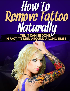# How To Remove Tattoo Naturalla THE THE TEST TO THE REAL SERVICE OF THE PROPERTY OF THE PROPERTY OF THE PROPERTY OF THE PROPERTY OF THE PROPERTY OF THE PROPERTY OF THE PROPERTY OF THE PROPERTY OF THE PROPERTY OF THE PROPERTY OF THE PROPERTY OF THE PROPER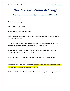

#### *Yes, it can be done. In fact it's been around a LONG time!*

Fellow tattooed friend,

I know what's on your mind.

*And to answer your lingering question…*

*YES* – there is a better way to remove your tattoos than by using concentrated lasers to burn away the problem.

Tattoo artist and remover Dorian Davis here. Like you, I love showing off the things I care about through my tattoos. I have couple full sleeves myself!

And if I had to give you a number of tattoos that I've put on and removed -- I've done about 5000 at this point? Give or take 1,000.

Here's the thing we're going to talk about in this brief guide: NATURAL removal methods.

Something I know deeply about; after all, of the thousands of tattoos I've helped remove – exactly 0 of them were burned off using lasers!

So how did I take them off? You're about to find out. In this guide you're going to learn: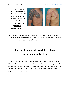*How To Remove Tattoos Naturally © [LaserlessTattooRemoval.com](http://hythyroid.laserless.hop.clickbank.net/?tid=report)*

 Why the conventional tattoo removal wisdom, that laser removal is the only option or the most effective – not only hurts your wallet – but also sometimes leaves you with *completely avoidable scars!*



 Then we'll talk about some all-natural approaches to skin ink removal that **have been used for thousands of years** with great success. (And there's absolutely no reason you can't use them yourself nowadays).

# One out of three people regret their tattoos and want to get rid of them

That statistic comes from the British Dermatological Association. The numbers in the US are similar as well, which has turned the modern tattoo removal industry into the big, booming cash cow it is. The American Medical Association has been quite happy about this. They have gone on to train an army of MDs to capture what was traditionally a simple, naturally focused industry.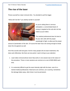#### **The rise of the laser**

Picture yourself at a laser removal clinic. You decided to pull the trigger.

"*What will it be like?"* you silently wonder to yourself.



As you're sitting there in nervous anticipation, a concentrated beam of energy is targeted at the sub-skin ink that makes up your tattoo.

The medical professional does his best to hit your skin cells with the proper wavelength of light, to allow just the proper

amount of penetration of the skin. Of course the laser has to be strong enough to break down the ink pigment as well.

All of this sounds well and good. And for many people who do laser treatments, this does work effectively. But there are two points I want to bring to your attention:

- 1. Laser tattoo removal almost never fully works in one session due to the nature of the procedure. Three or more sessions are common at a cost of \$200-\$500 each time.
- 2. It is extremely difficult to get the exact intensity right with the laser, even for a trained medical professional. Heat burns are common, as is scarring. Sometimes the damage fades away, other times it can be permanent.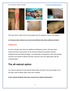

That said, laser is still by far the most popular way for people to remove their tattoos.

#### *Is it because laser removal is so much more effective than other methods out there?*

#### **Certainly not.**

As you've already seen there are significant drawbacks to lasers. But laser tattoo removal has been big business for the American Medical Association and their Hollywood sized promotional budget. The unfortunate consequence is that many people continue to be trained to believe that laser removal is the only viable option with the unwanted tattoo.

### **The all-natural option**

You may be surprised to know that all-natural tattoo removal is not only possible, but it has been used far before lasers were even invented.

**In fact natural methods have been around since tattoos themselves!**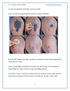*How To Remove Tattoos Naturally © [LaserlessTattooRemoval.com](http://hythyroid.laserless.hop.clickbank.net/?tid=report)*

Are they truly effective? Well, take a look for yourself.

Here's one person going through the process I'm about to describe:



Now this didn't happen overnight. Just like laser removal, the best results happen after a certain amount of time.

There's a huge difference between this method and laser though. This man had his medium/large arm tattoo removed for just a few dollars at home.

If he went to a clinic, I can tell you a tattoo of that size would've cost him about \$300 per session with a minimum of three sessions, most likely four. \$1,200, in other words.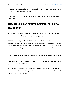That's not even considered expensive compared to a full sleeve or chest tattoo removal, which can be several thousand dollars! Crazy!

So you can see that all natural methods can both work and be a heck of a lot easier on your wallet.

## **How did this man remove that tattoo for only a few dollars?**

Salabrasion is one of the techniques I use with my clients, and also teach to people looking to remove their tattoos at home without my direct involvement.

Salabrasion basically accelerates the skin's **natural** exfoliation process – that is the automatic removal of the top layers of the skin. By accelerating the process, we can go deeper down to where the tattoo ink is normally hidden away, and bring those ink layers up to the top where they are then rubbed away with a simple skin exfoliating mixture.

## **The downsides of a simple, home-based method**

Salabrasion takes weeks, not days, for the tattoo to fully remove. So if you're in a hurry, you may need to try another technique.

But if you have a few weeks to fade and eventually eliminate your tattoo, this is one of the very best methods. It's cheap, pain-free, and can be done with ingredients found at the house or in the grocery store.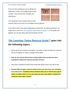*How To Remove Tattoos Naturally © [LaserlessTattooRemoval.com](http://hythyroid.laserless.hop.clickbank.net/?tid=report)*

There are other techniques just as effective as Salabrasion, which I encourage people to also consider. They all have their strengths and weaknesses.



And I guarantee if you compare them to laser removal, they're all a heck of a lot cheaper and less painful!

If you'd like to learn more about Salabrasion and the other all-natural techniques, you might want to check out *["The Laserless Tattoo Removal Guide™".](http://hythyroid.laserless.hop.clickbank.net/?tid=report)* It's the guide I put together as a 23 year tattoo artist and all-natural remover.

# *[The Laserless Tattoo Removal Guide™](http://hythyroid.laserless.hop.clickbank.net/?tid=report)* **goes into the following topics…**

- What exactly we're trying to accomplish: The nature of skin and tattoo ink, and how the two fit together to create a semipermanent tattoo
- **How we can reverse that process using simple home and grocery store ingredients without the expense and pain of lasers**
- Why lasers sometimes produce bad results that people have to live with for life
- **Several different tattoo removal methods that each have their own strengths and weaknesses. Combined, these methods allow you to remove any type of tattoo no matter where it is on your body, for just a few dollars compared to expensive laser tattoo removal**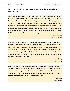Here's what some of my previous clients had to say about *"The Laserless Tattoo Removal Guide™":*

*I loved having my boyfriend's name on my sleeve when I was still with him, but after the relationship broke up (and especially considering how it broke apart) I absolutely hated having my skin marred with him. Unfortunately, with a mortgage and two young angels to look after, I just did not have the money for laser. Thankfully, I learnt about you from a facebook group where a number of people were talking about the great results you had with them, and today I'm sending you this email with tears of joy in my eyes. His name is gone from my skin, and now I can forget about him completely. From tomorrow, I will truly move on and start the next chapter of my life, thank you Dorian.*

> *Jinny Grosch, Berlin, Germany*

*I was pretty wild in my late teens, and had gotten a not-so-small tatt on my side and up to my neck. Now in my mid thirtees and with twin 1 year old daughters, I sort off wanted a more 'plain' image and hence wanted to at least remove the part of the tattoo on my neck. A friend suggested your method, so got started a few weeks ago (not sure if you remember me from my initial email). I just wanted to let you know that I'm really happy with the progress and the tattoo is almost gone completely and with zero side effects as you had promised. Thank you!*

> *Jack Glass, Texas, USA*

*Dorian, I can't believe how fast your system works! At this rate my tattoo will be gone completely by the end of this month, and I have had no irritation or anything on my skin. A friend of mine was going to go for laser removal but has now cancelled her appointment after seeing my results and will be purchasing your guide too as I obviously recommended it. Your book is worth its weight in gold.*

> *Yui Sato, Tokyo, Japan*